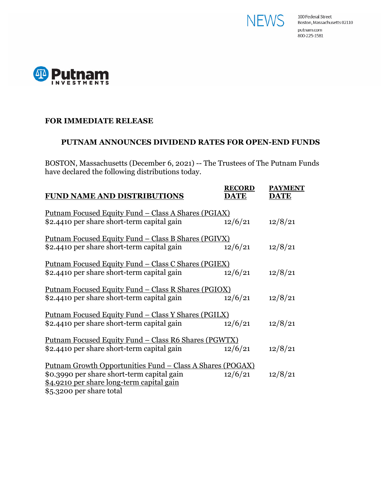



## **FOR IMMEDIATE RELEASE**

## **PUTNAM ANNOUNCES DIVIDEND RATES FOR OPEN-END FUNDS**

BOSTON, Massachusetts (December 6, 2021) -- The Trustees of The Putnam Funds have declared the following distributions today.

| <b>FUND NAME AND DISTRIBUTIONS</b>                                                                                                                                                       | <b>RECORD</b><br><b>DATE</b> | <b>PAYMENT</b><br><b>DATE</b> |
|------------------------------------------------------------------------------------------------------------------------------------------------------------------------------------------|------------------------------|-------------------------------|
| <u> Putnam Focused Equity Fund – Class A Shares (PGIAX)</u><br>\$2.4410 per share short-term capital gain                                                                                | 12/6/21                      | 12/8/21                       |
| <u> Putnam Focused Equity Fund – Class B Shares (PGIVX)</u><br>\$2.4410 per share short-term capital gain                                                                                | 12/6/21                      | 12/8/21                       |
| <u> Putnam Focused Equity Fund – Class C Shares (PGIEX)</u><br>\$2.4410 per share short-term capital gain                                                                                | 12/6/21                      | 12/8/21                       |
| <u> Putnam Focused Equity Fund – Class R Shares (PGIOX)</u><br>\$2.4410 per share short-term capital gain                                                                                | 12/6/21                      | 12/8/21                       |
| <u> Putnam Focused Equity Fund – Class Y Shares (PGILX)</u><br>\$2.4410 per share short-term capital gain                                                                                | 12/6/21                      | 12/8/21                       |
| <u> Putnam Focused Equity Fund – Class R6 Shares (PGWTX)</u><br>\$2.4410 per share short-term capital gain                                                                               | 12/6/21                      | 12/8/21                       |
| <u> Putnam Growth Opportunities Fund – Class A Shares (POGAX)</u><br>\$0.3990 per share short-term capital gain<br>\$4.9210 per share long-term capital gain<br>\$5.3200 per share total | 12/6/21                      | 12/8/21                       |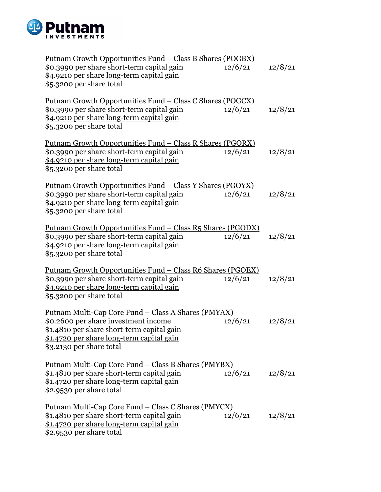

| <u> Putnam Growth Opportunities Fund – Class B Shares (POGBX)</u>                                                                                                                                                          |         |         |
|----------------------------------------------------------------------------------------------------------------------------------------------------------------------------------------------------------------------------|---------|---------|
| \$0.3990 per share short-term capital gain<br><u>\$4.9210 per share long-term capital gain</u><br>\$5.3200 per share total                                                                                                 | 12/6/21 | 12/8/21 |
| <u> Putnam Growth Opportunities Fund – Class C Shares (POGCX)</u><br>\$0.3990 per share short-term capital gain<br>\$4.9210 per share long-term capital gain<br>\$5.3200 per share total                                   | 12/6/21 | 12/8/21 |
| <u> Putnam Growth Opportunities Fund – Class R Shares (PGORX)</u><br>\$0.3990 per share short-term capital gain<br>\$4.9210 per share long-term capital gain<br>\$5.3200 per share total                                   | 12/6/21 | 12/8/21 |
| <u> Putnam Growth Opportunities Fund – Class Y Shares (PGOYX)</u><br>\$0.3990 per share short-term capital gain<br><u>\$4.9210 per share long-term capital gain</u><br>\$5.3200 per share total                            | 12/6/21 | 12/8/21 |
| <u> Putnam Growth Opportunities Fund – Class R5 Shares (PGODX)</u><br>\$0.3990 per share short-term capital gain<br>\$4.9210 per share long-term capital gain<br>\$5.3200 per share total                                  | 12/6/21 | 12/8/21 |
| <u> Putnam Growth Opportunities Fund - Class R6 Shares (PGOEX)</u><br>\$0.3990 per share short-term capital gain<br>\$4.9210 per share long-term capital gain<br>\$5.3200 per share total                                  | 12/6/21 | 12/8/21 |
| <u> Putnam Multi-Cap Core Fund – Class A Shares (PMYAX)</u><br>\$0.2600 per share investment income<br>\$1.4810 per share short-term capital gain<br>\$1.4720 per share long-term capital gain<br>\$3.2130 per share total | 12/6/21 | 12/8/21 |
| Putnam Multi-Cap Core Fund - Class B Shares (PMYBX)<br>\$1.4810 per share short-term capital gain<br>\$1.4720 per share long-term capital gain<br>\$2.9530 per share total                                                 | 12/6/21 | 12/8/21 |
| <u> Putnam Multi-Cap Core Fund – Class C Shares (PMYCX)</u><br>\$1.4810 per share short-term capital gain<br>\$1.4720 per share long-term capital gain<br>\$2.9530 per share total                                         | 12/6/21 | 12/8/21 |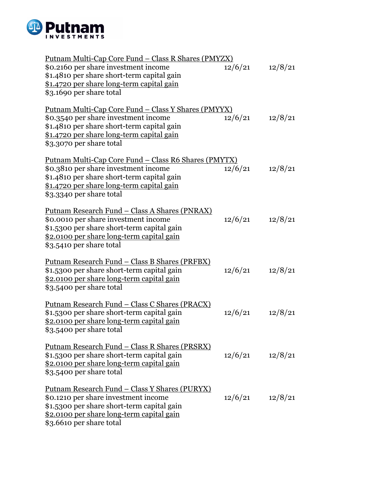

| Putnam Multi-Cap Core Fund - Class R Shares (PMYZX)         |         |         |
|-------------------------------------------------------------|---------|---------|
| \$0.2160 per share investment income                        | 12/6/21 | 12/8/21 |
| \$1.4810 per share short-term capital gain                  |         |         |
| \$1.4720 per share long-term capital gain                   |         |         |
| \$3.1690 per share total                                    |         |         |
|                                                             |         |         |
| <u> Putnam Multi-Cap Core Fund – Class Y Shares (PMYYX)</u> |         |         |
| \$0.3540 per share investment income                        | 12/6/21 | 12/8/21 |
| \$1.4810 per share short-term capital gain                  |         |         |
| \$1.4720 per share long-term capital gain                   |         |         |
| \$3.3070 per share total                                    |         |         |
|                                                             |         |         |
| Putnam Multi-Cap Core Fund - Class R6 Shares (PMYTX)        |         |         |
| \$0.3810 per share investment income                        | 12/6/21 | 12/8/21 |
| \$1.4810 per share short-term capital gain                  |         |         |
| \$1.4720 per share long-term capital gain                   |         |         |
| \$3.3340 per share total                                    |         |         |
|                                                             |         |         |
| <u> Putnam Research Fund – Class A Shares (PNRAX)</u>       |         |         |
| \$0.0010 per share investment income                        | 12/6/21 | 12/8/21 |
| \$1.5300 per share short-term capital gain                  |         |         |
| \$2.0100 per share long-term capital gain                   |         |         |
| \$3.5410 per share total                                    |         |         |
|                                                             |         |         |
| Putnam Research Fund - Class B Shares (PRFBX)               |         |         |
| \$1.5300 per share short-term capital gain                  | 12/6/21 | 12/8/21 |
| \$2.0100 per share long-term capital gain                   |         |         |
| \$3.5400 per share total                                    |         |         |
|                                                             |         |         |
| <u> Putnam Research Fund – Class C Shares (PRACX)</u>       |         |         |
| \$1.5300 per share short-term capital gain                  | 12/6/21 | 12/8/21 |
| \$2.0100 per share long-term capital gain                   |         |         |
| \$3.5400 per share total                                    |         |         |
|                                                             |         |         |
| <u> Putnam Research Fund – Class R Shares (PRSRX)</u>       |         |         |
| \$1.5300 per share short-term capital gain                  | 12/6/21 | 12/8/21 |
| <u>\$2.0100 per share long-term capital gain</u>            |         |         |
| \$3.5400 per share total                                    |         |         |
|                                                             |         |         |
| <u> Putnam Research Fund – Class Y Shares (PURYX)</u>       |         |         |
| \$0.1210 per share investment income                        | 12/6/21 | 12/8/21 |
| \$1.5300 per share short-term capital gain                  |         |         |
| \$2.0100 per share long-term capital gain                   |         |         |
| \$3.6610 per share total                                    |         |         |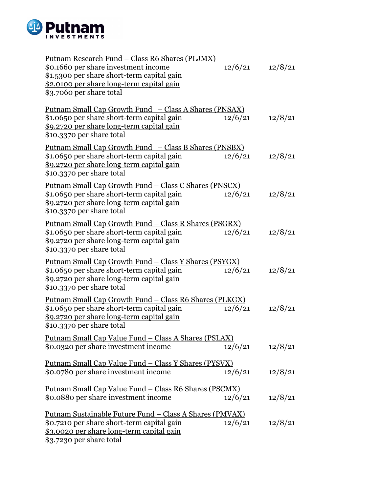

| <u> Putnam Research Fund – Class R6 Shares (PLJMX)</u><br>\$0.1660 per share investment income<br>\$1.5300 per share short-term capital gain<br>\$2.0100 per share long-term capital gain<br>\$3.7060 per share total | 12/6/21 | 12/8/21 |
|-----------------------------------------------------------------------------------------------------------------------------------------------------------------------------------------------------------------------|---------|---------|
| <u> Putnam Small Cap Growth Fund – Class A Shares (PNSAX)</u><br>\$1.0650 per share short-term capital gain<br>\$9.2720 per share long-term capital gain<br>\$10.3370 per share total                                 | 12/6/21 | 12/8/21 |
| <u> Putnam Small Cap Growth Fund – Class B Shares (PNSBX)</u><br>\$1.0650 per share short-term capital gain<br>\$9.2720 per share long-term capital gain<br>\$10.3370 per share total                                 | 12/6/21 | 12/8/21 |
| <u> Putnam Small Cap Growth Fund – Class C Shares (PNSCX)</u><br>\$1.0650 per share short-term capital gain<br><u>\$9.2720 per share long-term capital gain</u><br>\$10.3370 per share total                          | 12/6/21 | 12/8/21 |
| Putnam Small Cap Growth Fund - Class R Shares (PSGRX)<br>\$1.0650 per share short-term capital gain<br>\$9.2720 per share long-term capital gain<br>\$10.3370 per share total                                         | 12/6/21 | 12/8/21 |
| <u> Putnam Small Cap Growth Fund – Class Y Shares (PSYGX)</u><br>\$1.0650 per share short-term capital gain<br>\$9.2720 per share long-term capital gain<br>\$10.3370 per share total                                 | 12/6/21 | 12/8/21 |
| <u> Putnam Small Cap Growth Fund – Class R6 Shares (PLKGX)</u><br>\$1.0650 per share short-term capital gain<br>\$9.2720 per share long-term capital gain<br>\$10.3370 per share total                                | 12/6/21 | 12/8/21 |
| <u> Putnam Small Cap Value Fund – Class A Shares (PSLAX)</u><br>\$0.0320 per share investment income                                                                                                                  | 12/6/21 | 12/8/21 |
| Putnam Small Cap Value Fund - Class Y Shares (PYSVX)<br>\$0.0780 per share investment income                                                                                                                          | 12/6/21 | 12/8/21 |
| <u> Putnam Small Cap Value Fund – Class R6 Shares (PSCMX)</u><br>\$0.0880 per share investment income                                                                                                                 | 12/6/21 | 12/8/21 |
| Putnam Sustainable Future Fund - Class A Shares (PMVAX)<br>\$0.7210 per share short-term capital gain<br>\$3.0020 per share long-term capital gain<br>\$3.7230 per share total                                        | 12/6/21 | 12/8/21 |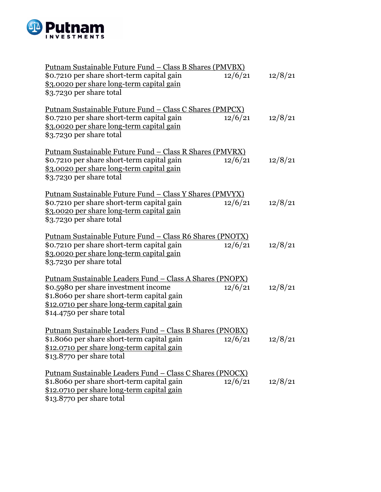

| <u> Putnam Sustainable Future Fund – Class B Shares (PMVBX)</u><br>\$0.7210 per share short-term capital gain<br>\$3.0020 per share long-term capital gain<br>\$3.7230 per share total                                            | 12/6/21 | 12/8/21 |
|-----------------------------------------------------------------------------------------------------------------------------------------------------------------------------------------------------------------------------------|---------|---------|
| <u> Putnam Sustainable Future Fund – Class C Shares (PMPCX)</u><br>\$0.7210 per share short-term capital gain<br>\$3.0020 per share long-term capital gain<br>\$3.7230 per share total                                            | 12/6/21 | 12/8/21 |
| Putnam Sustainable Future Fund - Class R Shares (PMVRX)<br>\$0.7210 per share short-term capital gain<br>\$3.0020 per share long-term capital gain<br>\$3.7230 per share total                                                    | 12/6/21 | 12/8/21 |
| <u> Putnam Sustainable Future Fund – Class Y Shares (PMVYX)</u><br>\$0.7210 per share short-term capital gain<br>\$3.0020 per share long-term capital gain<br>\$3.7230 per share total                                            | 12/6/21 | 12/8/21 |
| <u> Putnam Sustainable Future Fund – Class R6 Shares (PNOTX)</u><br>\$0.7210 per share short-term capital gain<br>\$3.0020 per share long-term capital gain<br>\$3.7230 per share total                                           | 12/6/21 | 12/8/21 |
| <u> Putnam Sustainable Leaders Fund – Class A Shares (PNOPX)</u><br>\$0.5980 per share investment income<br>\$1.8060 per share short-term capital gain<br>\$12.0710 per share long-term capital gain<br>\$14.4750 per share total | 12/6/21 | 12/8/21 |
| <u> Putnam Sustainable Leaders Fund – Class B Shares (PNOBX)</u><br>\$1.8060 per share short-term capital gain<br>\$12.0710 per share long-term capital gain<br>\$13.8770 per share total                                         | 12/6/21 | 12/8/21 |
| <u> Putnam Sustainable Leaders Fund – Class C Shares (PNOCX)</u><br>\$1.8060 per share short-term capital gain<br>\$12.0710 per share long-term capital gain<br>\$13.8770 per share total                                         | 12/6/21 | 12/8/21 |